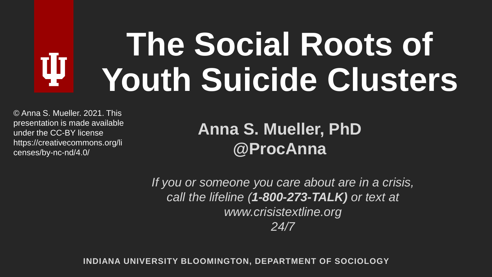## **The Social Roots of**  ψ **Youth Suicide Clusters**

© Anna S. Mueller. 2021. This presentation is made available under the CC-BY license https://creativecommons.org/li censes/by-nc-nd/4.0/

#### **Anna S. Mueller, PhD @ProcAnna**

*If you or someone you care about are in a crisis, call the lifeline (1-800-273-TALK) or text at www.crisistextline.org 24/7*

**INDIANA UNIVERSITY BLOOMINGTON, DEPARTMENT OF SOCIOLOGY**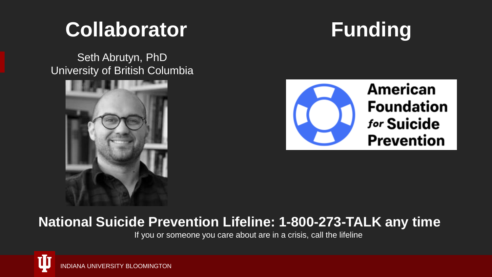### **Collaborator**

Seth Abrutyn, PhD University of British Columbia







#### **National Suicide Prevention Lifeline: 1-800-273-TALK any time**

If you or someone you care about are in a crisis, call the lifeline

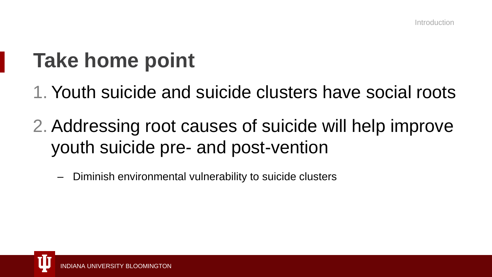## **Take home point**

- 1. Youth suicide and suicide clusters have social roots
- 2. Addressing root causes of suicide will help improve youth suicide pre- and post-vention
	- Diminish environmental vulnerability to suicide clusters

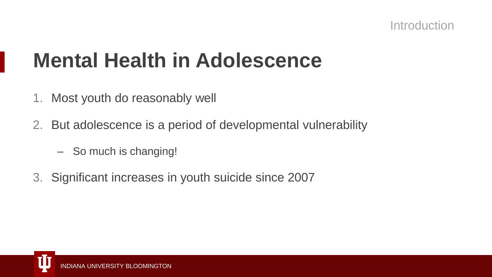### **Mental Health in Adolescence**

- 1. Most youth do reasonably well
- 2. But adolescence is a period of developmental vulnerability
	- So much is changing!
- 3. Significant increases in youth suicide since 2007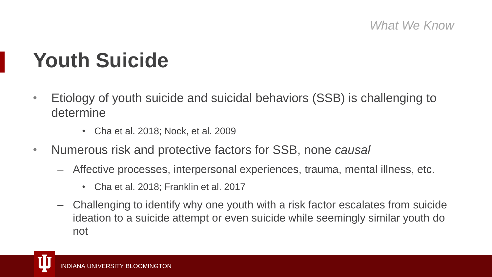*What We Know*

### **Youth Suicide**

- Etiology of youth suicide and suicidal behaviors (SSB) is challenging to determine
	- Cha et al. 2018; Nock, et al. 2009
- Numerous risk and protective factors for SSB, none *causal*
	- Affective processes, interpersonal experiences, trauma, mental illness, etc.
		- Cha et al. 2018; Franklin et al. 2017
	- Challenging to identify why one youth with a risk factor escalates from suicide ideation to a suicide attempt or even suicide while seemingly similar youth do not

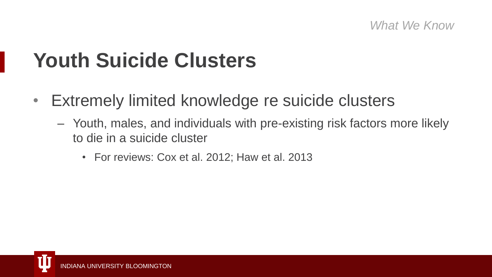#### *What We Know*

### **Youth Suicide Clusters**

- Extremely limited knowledge re suicide clusters
	- Youth, males, and individuals with pre-existing risk factors more likely to die in a suicide cluster
		- For reviews: Cox et al. 2012; Haw et al. 2013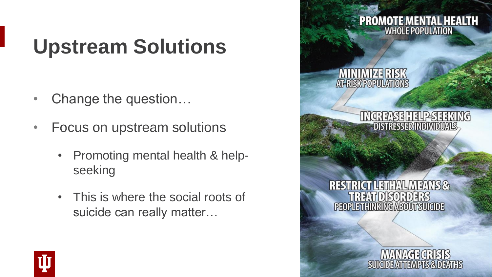## **Upstream Solutions**

- Change the question...
- Focus on upstream solutions
	- Promoting mental health & helpseeking
	- This is where the social roots of suicide can really matter…



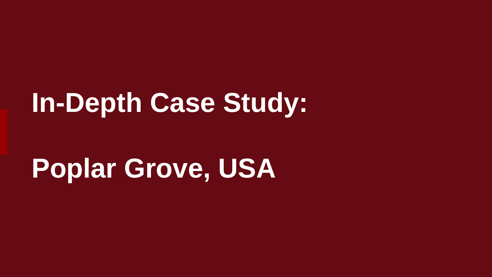## **In-Depth Case Study:**

## **Poplar Grove, USA**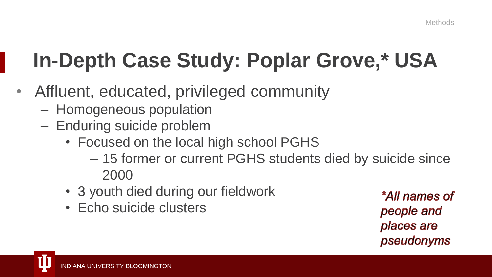## **In-Depth Case Study: Poplar Grove,\* USA**

- Affluent, educated, privileged community
	- Homogeneous population
	- Enduring suicide problem
		- Focused on the local high school PGHS
			- 15 former or current PGHS students died by suicide since 2000
		- 3 youth died during our fieldwork
		- Echo suicide clusters

\*All names of people and places are pseudonyms

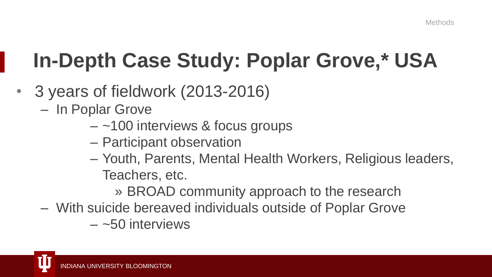## **In-Depth Case Study: Poplar Grove,\* USA**

- 3 years of fieldwork (2013-2016)
	- In Poplar Grove
		- $-$  ~100 interviews & focus groups
		- Participant observation
		- Youth, Parents, Mental Health Workers, Religious leaders, Teachers, etc.
			- » BROAD community approach to the research
	- With suicide bereaved individuals outside of Poplar Grove
		- $-$  ~50 interviews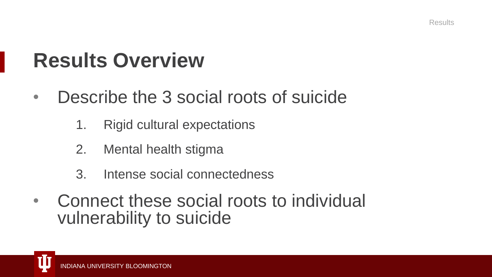### **Results Overview**

- Describe the 3 social roots of suicide
	- 1. Rigid cultural expectations
	- 2. Mental health stigma
	- 3. Intense social connectedness
- Connect these social roots to individual vulnerability to suicide

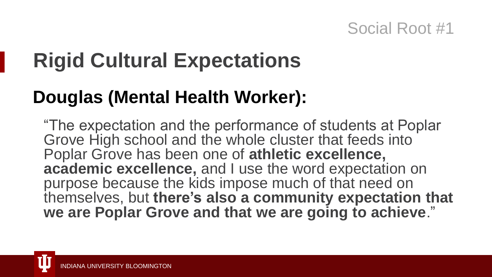## **Rigid Cultural Expectations**

### **Douglas (Mental Health Worker):**

"The expectation and the performance of students at Poplar Grove High school and the whole cluster that feeds into Poplar Grove has been one of **athletic excellence, academic excellence,** and I use the word expectation on purpose because the kids impose much of that need on themselves, but **there's also a community expectation that we are Poplar Grove and that we are going to achieve**."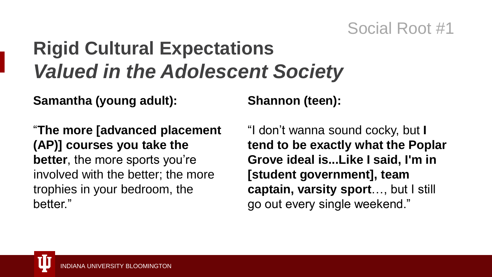### **Rigid Cultural Expectations** *Valued in the Adolescent Society*

**Samantha (young adult):**

"**The more [advanced placement (AP)] courses you take the better**, the more sports you're involved with the better; the more trophies in your bedroom, the better."

#### **Shannon (teen):**

"I don't wanna sound cocky, but **I tend to be exactly what the Poplar Grove ideal is...Like I said, I'm in [student government], team captain, varsity sport**…, but I still go out every single weekend."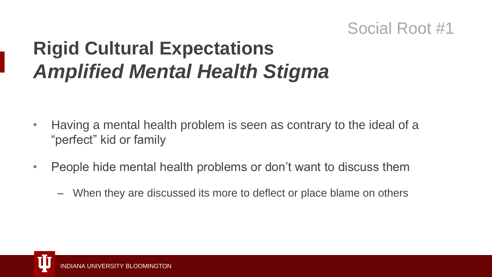### **Rigid Cultural Expectations** *Amplified Mental Health Stigma*

- Having a mental health problem is seen as contrary to the ideal of a "perfect" kid or family
- People hide mental health problems or don't want to discuss them
	- When they are discussed its more to deflect or place blame on others

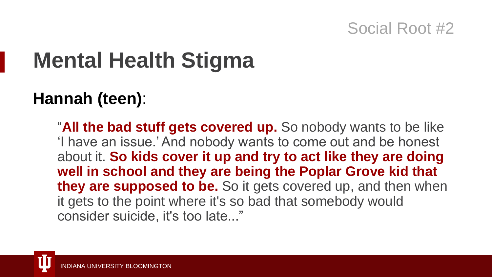## **Mental Health Stigma**

### **Hannah (teen)**:

"**All the bad stuff gets covered up.** So nobody wants to be like 'I have an issue.' And nobody wants to come out and be honest about it. **So kids cover it up and try to act like they are doing well in school and they are being the Poplar Grove kid that they are supposed to be.** So it gets covered up, and then when it gets to the point where it's so bad that somebody would consider suicide, it's too late..."

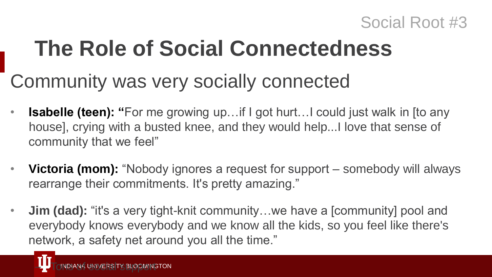## **The Role of Social Connectedness**

### Community was very socially connected

- **Isabelle (teen): "For me growing up...if I got hurt...I could just walk in [to any** house], crying with a busted knee, and they would help...I love that sense of community that we feel"
- **Victoria (mom):** "Nobody ignores a request for support somebody will always rearrange their commitments. It's pretty amazing."
- **Jim (dad):** "it's a very tight-knit community...we have a [community] pool and everybody knows everybody and we know all the kids, so you feel like there's network, a safety net around you all the time."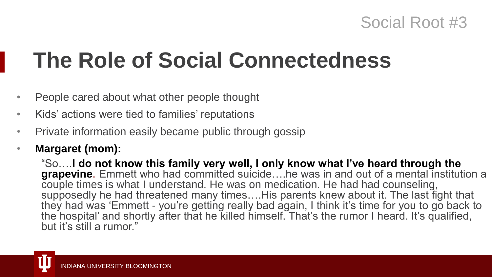## **The Role of Social Connectedness**

- People cared about what other people thought
- Kids' actions were tied to families' reputations
- Private information easily became public through gossip
- **Margaret (mom):**

"So….**I do not know this family very well, I only know what I've heard through the grapevine**. Emmett who had committed suicide….he was in and out of a mental institution a couple times is what I understand. He was on medication. He had had counseling, supposedly he had threatened many times….His parents knew about it. The last fight that they had was 'Emmett - you're getting really bad again, I think it's time for you to go back to the hospital' and shortly after that he killed himself. That's the rumor I heard. It's qualified, but it's still a rumor."

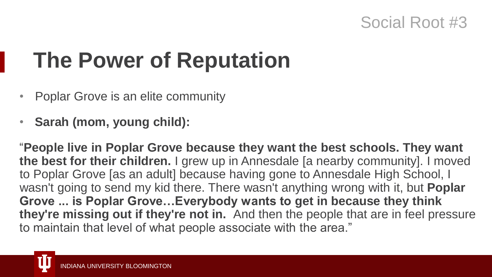## **The Power of Reputation**

- Poplar Grove is an elite community
- **Sarah (mom, young child):**

"**People live in Poplar Grove because they want the best schools. They want the best for their children.** I grew up in Annesdale [a nearby community]. I moved to Poplar Grove [as an adult] because having gone to Annesdale High School, I wasn't going to send my kid there. There wasn't anything wrong with it, but **Poplar Grove ... is Poplar Grove…Everybody wants to get in because they think they're missing out if they're not in.** And then the people that are in feel pressure to maintain that level of what people associate with the area."

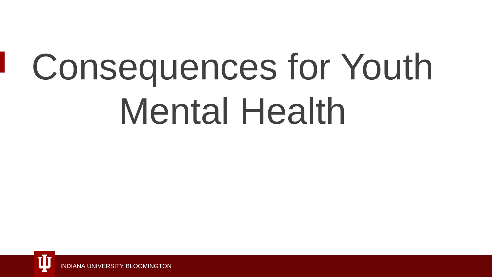# Consequences for Youth Mental Health

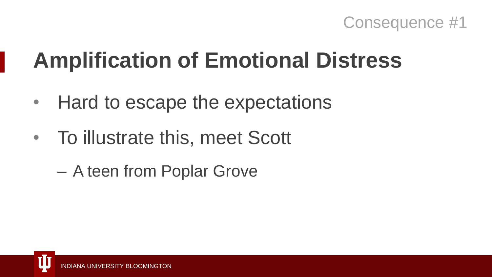

## **Amplification of Emotional Distress**

- Hard to escape the expectations
- To illustrate this, meet Scott
	- A teen from Poplar Grove

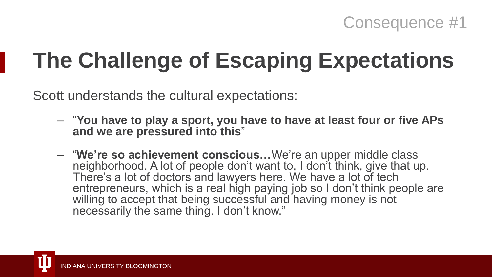## **The Challenge of Escaping Expectations**

Scott understands the cultural expectations:

- "**You have to play a sport, you have to have at least four or five APs and we are pressured into this**"
- "**We're so achievement conscious…**We're an upper middle class neighborhood. A lot of people don't want to, I don't think, give that up. There's a lot of doctors and lawyers here. We have a lot of tech entrepreneurs, which is a real high paying job so I don't think people are willing to accept that being successful and having money is not necessarily the same thing. I don't know."

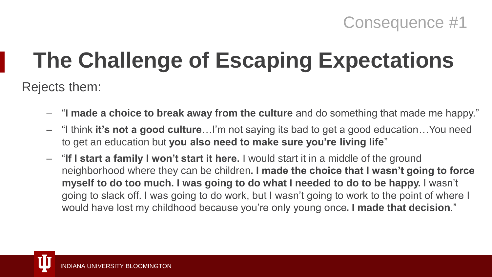## **The Challenge of Escaping Expectations**

Rejects them:

- "**I made a choice to break away from the culture** and do something that made me happy."
- "I think **it's not a good culture**…I'm not saying its bad to get a good education…You need to get an education but **you also need to make sure you're living life**"
- "**If I start a family I won't start it here.** I would start it in a middle of the ground neighborhood where they can be children**. I made the choice that I wasn't going to force myself to do too much. I was going to do what I needed to do to be happy.** I wasn't going to slack off. I was going to do work, but I wasn't going to work to the point of where I would have lost my childhood because you're only young once**. I made that decision**."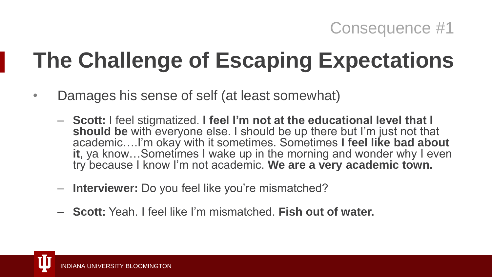## **The Challenge of Escaping Expectations**

- Damages his sense of self (at least somewhat)
	- **Scott:** I feel stigmatized. **I feel I'm not at the educational level that I should be** with everyone else. I should be up there but I'm just not that academic….I'm okay with it sometimes. Sometimes **I feel like bad about it**, ya know…Sometimes I wake up in the morning and wonder why I even try because I know I'm not academic. **We are a very academic town.**
	- **Interviewer:** Do you feel like you're mismatched?
	- **Scott:** Yeah. I feel like I'm mismatched. **Fish out of water.**

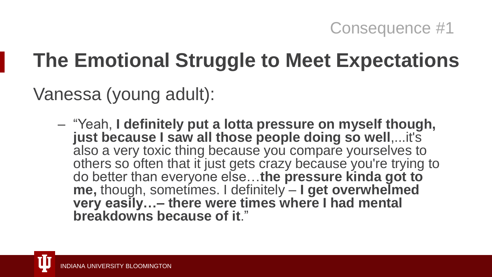### **The Emotional Struggle to Meet Expectations**

Vanessa (young adult):

– "Yeah, **I definitely put a lotta pressure on myself though, just because I saw all those people doing so well**,...it's also a very toxic thing because you compare yourselves to others so often that it just gets crazy because you're trying to do better than everyone else…**the pressure kinda got to me,** though, sometimes. I definitely – **I get overwhelmed very easily…– there were times where I had mental breakdowns because of it**."

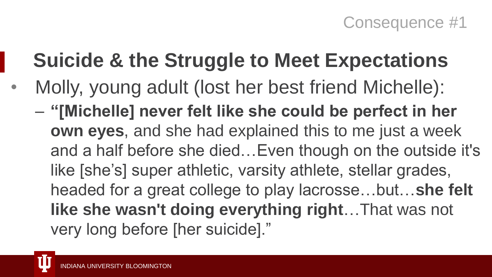## **Suicide & the Struggle to Meet Expectations**

• Molly, young adult (lost her best friend Michelle): – **"[Michelle] never felt like she could be perfect in her own eyes**, and she had explained this to me just a week and a half before she died…Even though on the outside it's like [she's] super athletic, varsity athlete, stellar grades, headed for a great college to play lacrosse…but…**she felt like she wasn't doing everything right**…That was not very long before [her suicide]."

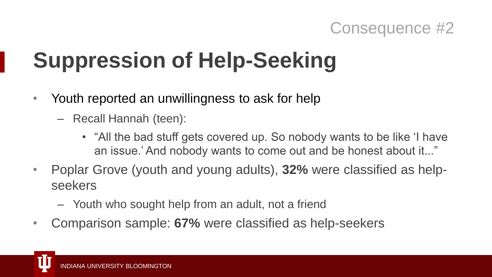## **Suppression of Help-Seeking**

- Youth reported an unwillingness to ask for help
	- Recall Hannah (teen):
		- "All the bad stuff gets covered up. So nobody wants to be like 'I have an issue.' And nobody wants to come out and be honest about it..."
- Poplar Grove (youth and young adults), **32%** were classified as helpseekers
	- Youth who sought help from an adult, not a friend
- Comparison sample: **67%** were classified as help-seekers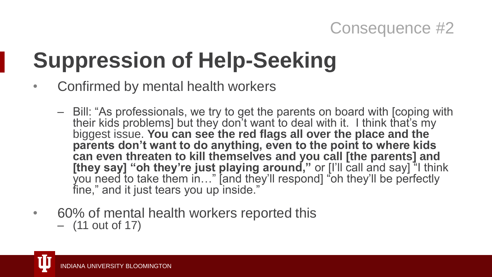## **Suppression of Help-Seeking**

- Confirmed by mental health workers
	- Bill: "As professionals, we try to get the parents on board with [coping with their kids problems] but they don't want to deal with it. I think that's my biggest issue. **You can see the red flags all over the place and the parents don't want to do anything, even to the point to where kids can even threaten to kill themselves and you call [the parents] and [they say] "oh they're just playing around,"** or [I'll call and say] <sup>\*</sup>I think you need to take them in…" [and they'll respond] "oh they'll be perfectly fine," and it just tears you up inside."
- 60% of mental health workers reported this
	- (11 out of 17)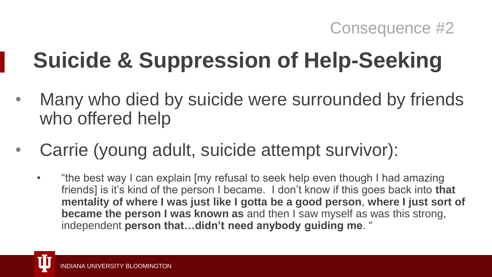## **Suicide & Suppression of Help-Seeking**

- Many who died by suicide were surrounded by friends who offered help
- Carrie (young adult, suicide attempt survivor):
	- "the best way I can explain [my refusal to seek help even though I had amazing friends] is it's kind of the person I became. I don't know if this goes back into **that mentality of where I was just like I gotta be a good person**, **where I just sort of became the person I was known as** and then I saw myself as was this strong, independent **person that…didn't need anybody guiding me**. "

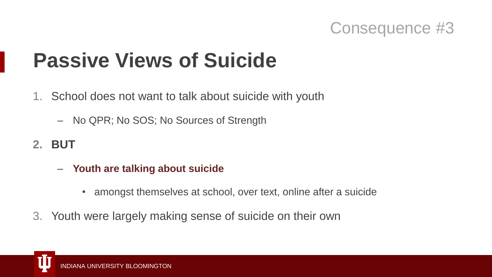### **Passive Views of Suicide**

- 1. School does not want to talk about suicide with youth
	- No QPR; No SOS; No Sources of Strength
- **2. BUT**
	- **Youth are talking about suicide**
		- amongst themselves at school, over text, online after a suicide
- 3. Youth were largely making sense of suicide on their own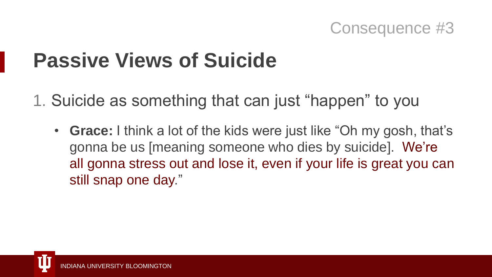### **Passive Views of Suicide**

1. Suicide as something that can just "happen" to you

• **Grace:** I think a lot of the kids were just like "Oh my gosh, that's gonna be us [meaning someone who dies by suicide]. We're all gonna stress out and lose it, even if your life is great you can still snap one day."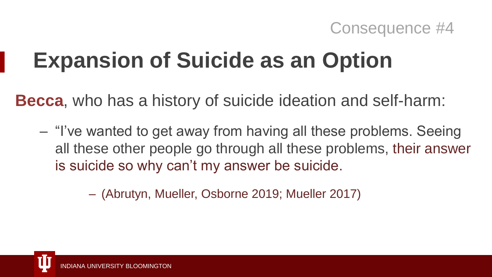## **Expansion of Suicide as an Option**

**Becca**, who has a history of suicide ideation and self-harm:

– "I've wanted to get away from having all these problems. Seeing all these other people go through all these problems, their answer is suicide so why can't my answer be suicide.

– (Abrutyn, Mueller, Osborne 2019; Mueller 2017)

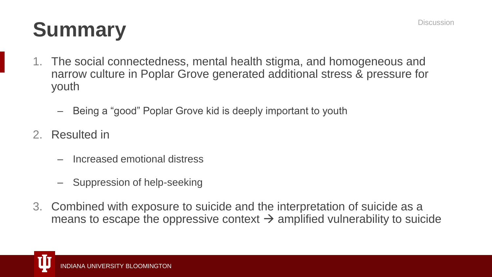## **Summary** Discussion

- 1. The social connectedness, mental health stigma, and homogeneous and narrow culture in Poplar Grove generated additional stress & pressure for youth
	- Being a "good" Poplar Grove kid is deeply important to youth
- 2. Resulted in
	- Increased emotional distress
	- Suppression of help-seeking
- 3. Combined with exposure to suicide and the interpretation of suicide as a means to escape the oppressive context  $\rightarrow$  amplified vulnerability to suicide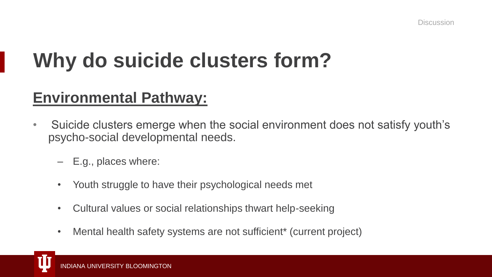### **Why do suicide clusters form?**

#### **Environmental Pathway:**

- Suicide clusters emerge when the social environment does not satisfy youth's psycho-social developmental needs.
	- E.g., places where:
	- Youth struggle to have their psychological needs met
	- Cultural values or social relationships thwart help-seeking
	- Mental health safety systems are not sufficient\* (current project)

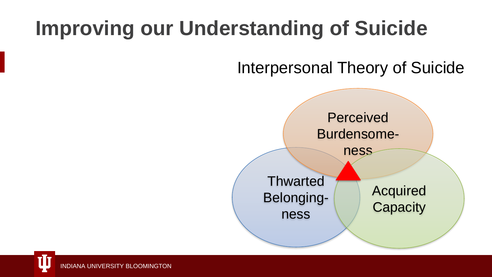## **Improving our Understanding of Suicide**

Interpersonal Theory of Suicide

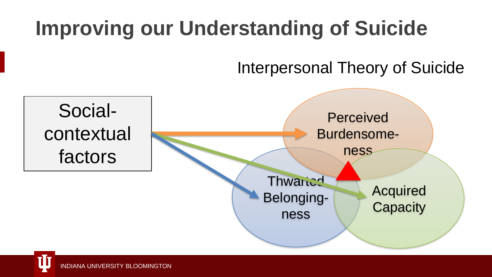## **Improving our Understanding of Suicide**

#### Interpersonal Theory of Suicide

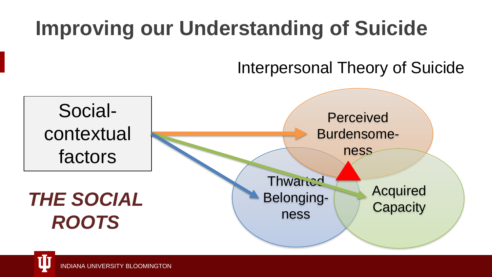## **Improving our Understanding of Suicide**

#### Interpersonal Theory of Suicide



INDIANA UNIVERSITY BLOOMINGTON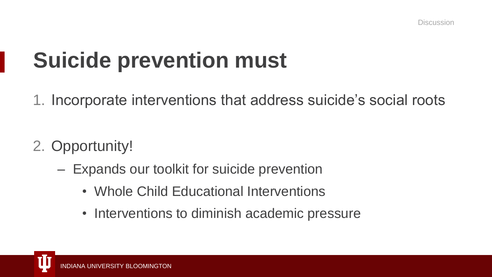## **Suicide prevention must**

1. Incorporate interventions that address suicide's social roots

- 2. Opportunity!
	- Expands our toolkit for suicide prevention
		- Whole Child Educational Interventions
		- Interventions to diminish academic pressure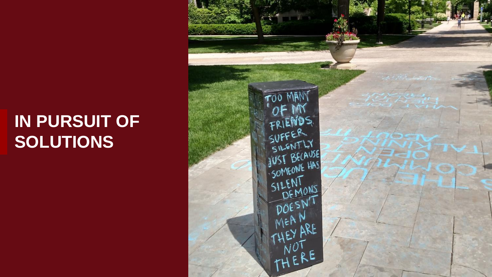### **IN PURSUIT OF SOLUTIONS**

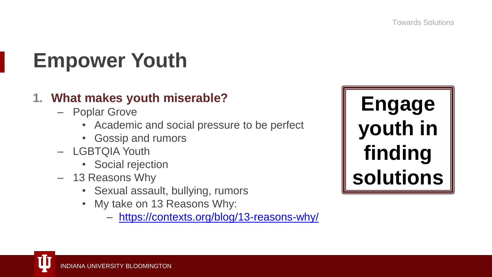## **Empower Youth**

#### **1. What makes youth miserable?**

- Poplar Grove
	- Academic and social pressure to be perfect
	- Gossip and rumors
- LGBTQIA Youth
	- Social rejection
- 13 Reasons Why
	- Sexual assault, bullying, rumors
	- My take on 13 Reasons Why:
		- <https://contexts.org/blog/13-reasons-why/>

**Engage youth in finding solutions**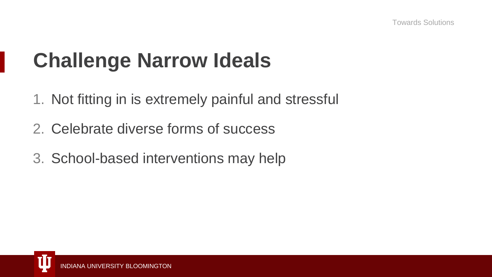### **Challenge Narrow Ideals**

- 1. Not fitting in is extremely painful and stressful
- 2. Celebrate diverse forms of success
- 3. School-based interventions may help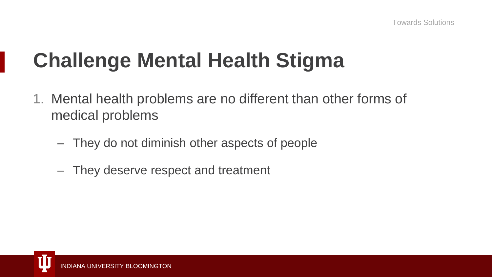## **Challenge Mental Health Stigma**

- 1. Mental health problems are no different than other forms of medical problems
	- They do not diminish other aspects of people
	- They deserve respect and treatment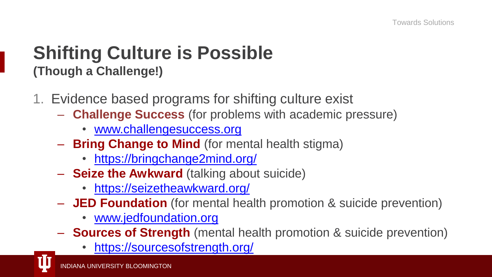### **Shifting Culture is Possible (Though a Challenge!)**

- 1. Evidence based programs for shifting culture exist
	- **Challenge Success** (for problems with academic pressure)
		- [www.challengesuccess.org](http://www.challengesuccess.org/)
	- **Bring Change to Mind** (for mental health stigma)
		- <https://bringchange2mind.org/>
	- **Seize the Awkward** (talking about suicide)
		- <https://seizetheawkward.org/>
	- **JED Foundation** (for mental health promotion & suicide prevention)
		- [www.jedfoundation.org](http://www.jedfoundation.org/)
	- **Sources of Strength** (mental health promotion & suicide prevention)
		- <https://sourcesofstrength.org/>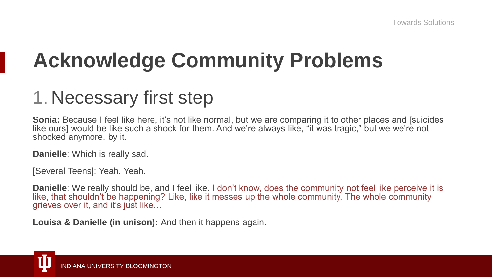## **Acknowledge Community Problems**

### 1. Necessary first step

**Sonia:** Because I feel like here, it's not like normal, but we are comparing it to other places and [suicides like ours] would be like such a shock for them. And we're always like, "it was tragic," but we we're not shocked anymore, by it.

**Danielle**: Which is really sad.

[Several Teens]: Yeah. Yeah.

**Danielle**: We really should be, and I feel like**.** I don't know, does the community not feel like perceive it is like, that shouldn't be happening? Like, like it messes up the whole community. The whole community grieves over it, and it's just like…

**Louisa & Danielle (in unison):** And then it happens again.

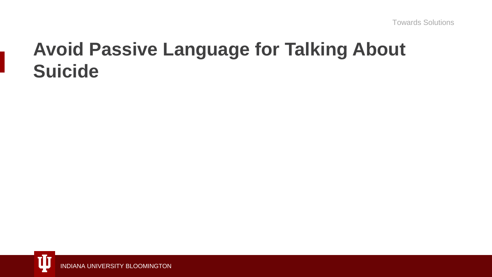### **Avoid Passive Language for Talking About Suicide**

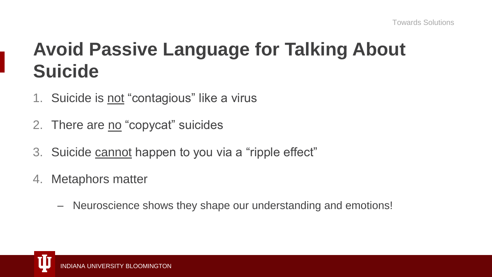### **Avoid Passive Language for Talking About Suicide**

- 1. Suicide is not "contagious" like a virus
- 2. There are no "copycat" suicides
- 3. Suicide cannot happen to you via a "ripple effect"
- 4. Metaphors matter
	- Neuroscience shows they shape our understanding and emotions!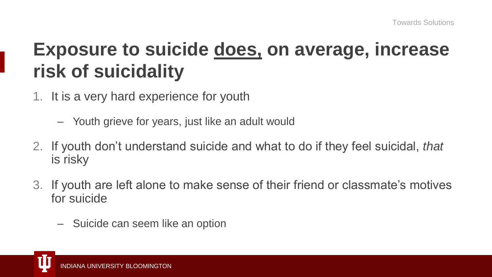### **Exposure to suicide does, on average, increase risk of suicidality**

- 1. It is a very hard experience for youth
	- Youth grieve for years, just like an adult would
- 2. If youth don't understand suicide and what to do if they feel suicidal, *that* is risky
- 3. If youth are left alone to make sense of their friend or classmate's motives for suicide
	- Suicide can seem like an option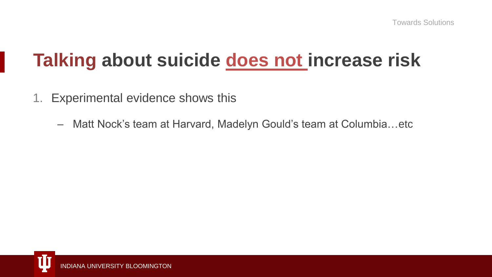### **Talking about suicide does not increase risk**

- 1. Experimental evidence shows this
	- Matt Nock's team at Harvard, Madelyn Gould's team at Columbia…etc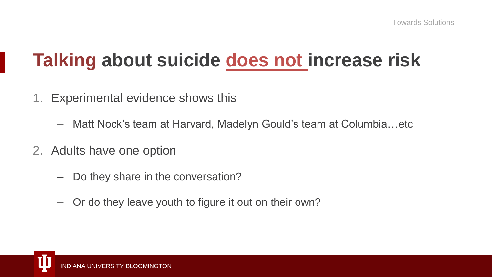### **Talking about suicide does not increase risk**

- 1. Experimental evidence shows this
	- Matt Nock's team at Harvard, Madelyn Gould's team at Columbia…etc
- 2. Adults have one option
	- Do they share in the conversation?
	- Or do they leave youth to figure it out on their own?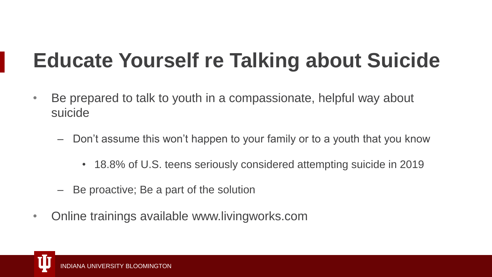## **Educate Yourself re Talking about Suicide**

- Be prepared to talk to youth in a compassionate, helpful way about suicide
	- Don't assume this won't happen to your family or to a youth that you know
		- 18.8% of U.S. teens seriously considered attempting suicide in 2019
	- Be proactive; Be a part of the solution
- Online trainings available www.livingworks.com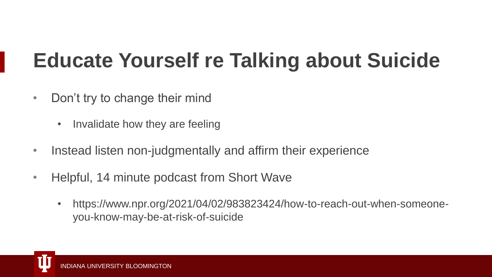## **Educate Yourself re Talking about Suicide**

- Don't try to change their mind
	- Invalidate how they are feeling
- Instead listen non-judgmentally and affirm their experience
- Helpful, 14 minute podcast from Short Wave
	- https://www.npr.org/2021/04/02/983823424/how-to-reach-out-when-someoneyou-know-may-be-at-risk-of-suicide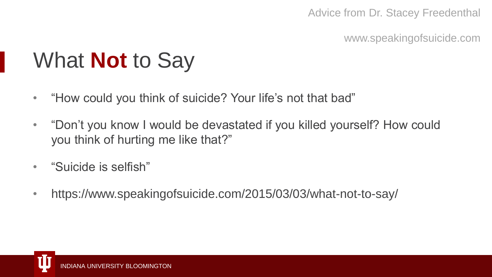#### Advice from Dr. Stacey Freedenthal

www.speakingofsuicide.com

## What **Not** to Say

- "How could you think of suicide? Your life's not that bad"
- "Don't you know I would be devastated if you killed yourself? How could you think of hurting me like that?"
- "Suicide is selfish"
- https://www.speakingofsuicide.com/2015/03/03/what-not-to-say/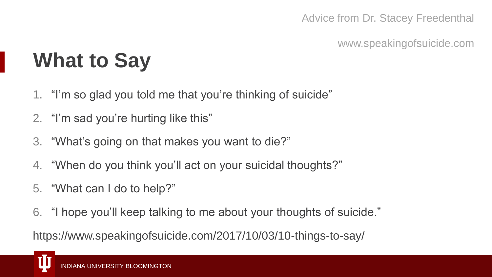Advice from Dr. Stacey Freedenthal

www.speakingofsuicide.com

## **What to Say**

- 1. "I'm so glad you told me that you're thinking of suicide"
- 2. "I'm sad you're hurting like this"
- 3. "What's going on that makes you want to die?"
- 4. "When do you think you'll act on your suicidal thoughts?"
- 5. "What can I do to help?"
- 6. "I hope you'll keep talking to me about your thoughts of suicide."

https://www.speakingofsuicide.com/2017/10/03/10-things-to-say/